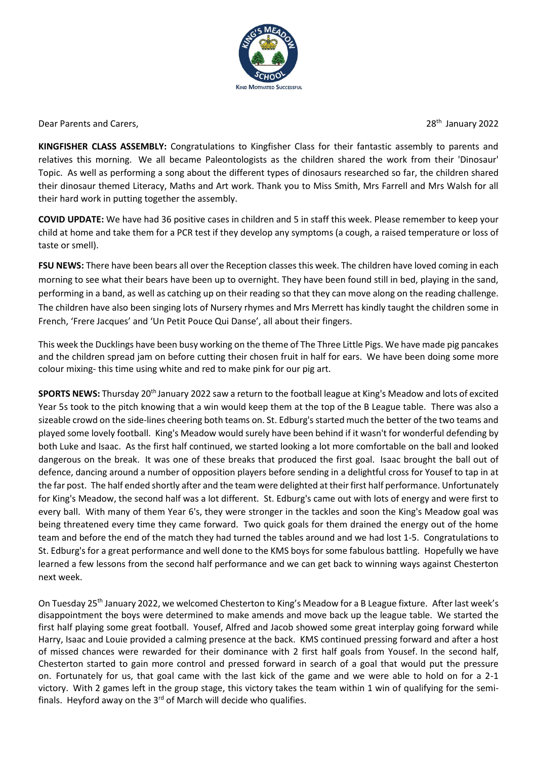

Dear Parents and Carers.

28<sup>th</sup> January 2022

**KINGFISHER CLASS ASSEMBLY:** Congratulations to Kingfisher Class for their fantastic assembly to parents and relatives this morning. We all became Paleontologists as the children shared the work from their 'Dinosaur' Topic. As well as performing a song about the different types of dinosaurs researched so far, the children shared their dinosaur themed Literacy, Maths and Art work. Thank you to Miss Smith, Mrs Farrell and Mrs Walsh for all their hard work in putting together the assembly.

**COVID UPDATE:** We have had 36 positive cases in children and 5 in staff this week. Please remember to keep your child at home and take them for a PCR test if they develop any symptoms (a cough, a raised temperature or loss of taste or smell).

**FSU NEWS:** There have been bears all over the Reception classes this week. The children have loved coming in each morning to see what their bears have been up to overnight. They have been found still in bed, playing in the sand, performing in a band, as well as catching up on their reading so that they can move along on the reading challenge. The children have also been singing lots of Nursery rhymes and Mrs Merrett has kindly taught the children some in French, 'Frere Jacques' and 'Un Petit Pouce Qui Danse', all about their fingers.

This week the Ducklings have been busy working on the theme of The Three Little Pigs. We have made pig pancakes and the children spread jam on before cutting their chosen fruit in half for ears. We have been doing some more colour mixing- this time using white and red to make pink for our pig art.

**SPORTS NEWS:** Thursday 20<sup>th</sup> January 2022 saw a return to the football league at King's Meadow and lots of excited Year 5s took to the pitch knowing that a win would keep them at the top of the B League table. There was also a sizeable crowd on the side-lines cheering both teams on. St. Edburg's started much the better of the two teams and played some lovely football. King's Meadow would surely have been behind if it wasn't for wonderful defending by both Luke and Isaac. As the first half continued, we started looking a lot more comfortable on the ball and looked dangerous on the break. It was one of these breaks that produced the first goal. Isaac brought the ball out of defence, dancing around a number of opposition players before sending in a delightful cross for Yousef to tap in at the far post. The half ended shortly after and the team were delighted at their first half performance. Unfortunately for King's Meadow, the second half was a lot different. St. Edburg's came out with lots of energy and were first to every ball. With many of them Year 6's, they were stronger in the tackles and soon the King's Meadow goal was being threatened every time they came forward. Two quick goals for them drained the energy out of the home team and before the end of the match they had turned the tables around and we had lost 1-5. Congratulations to St. Edburg's for a great performance and well done to the KMS boys for some fabulous battling. Hopefully we have learned a few lessons from the second half performance and we can get back to winning ways against Chesterton next week.

On Tuesday 25th January 2022, we welcomed Chesterton to King's Meadow for a B League fixture. After last week's disappointment the boys were determined to make amends and move back up the league table. We started the first half playing some great football. Yousef, Alfred and Jacob showed some great interplay going forward while Harry, Isaac and Louie provided a calming presence at the back. KMS continued pressing forward and after a host of missed chances were rewarded for their dominance with 2 first half goals from Yousef. In the second half, Chesterton started to gain more control and pressed forward in search of a goal that would put the pressure on. Fortunately for us, that goal came with the last kick of the game and we were able to hold on for a 2-1 victory. With 2 games left in the group stage, this victory takes the team within 1 win of qualifying for the semifinals. Heyford away on the  $3<sup>rd</sup>$  of March will decide who qualifies.